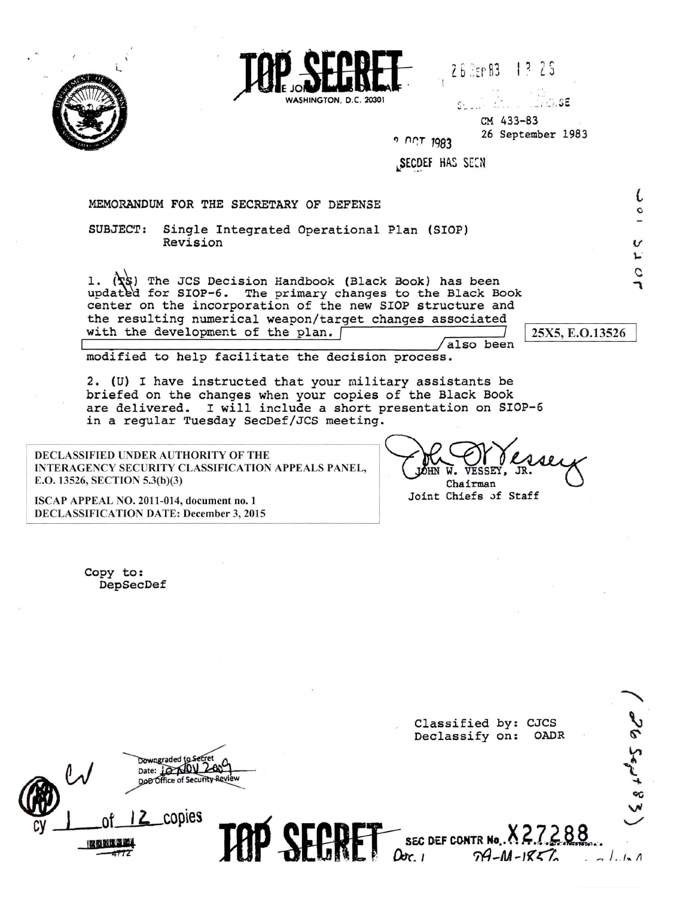

WASHINGTON D.C. 20301

 $26$   $25$   $R3$   $13$   $25$ 

 $74.5E$  $\mathcal{C}$  . . . CM 433-83 26 September 1983 " n~r *1983* 

SECDEF HAS SEEN

MEMORANDUM FOR THE SECRETARY OF DEFENSE

SUBJECT: Single Integrated Operational Plan (SIOP) Revision

1. ( $\langle \mathbf{x} \rangle$ ) The JCS Decision Handbook (Black Book) has been updated for SIOP-6. The primary changes to the Black Book center on the incorporation of the new SIOP structure and the resulting numerical weapon/target changes associated with the development of the plan. [ also been

I 25X5, E.0.13526

*L*

v  $\mathbf{L}$ , c

modified to help facilitate the decision process.

2. (U) I have instructed that your military assistants be briefed on the changes when your copies of the Black Book are delivered. I will include a short presentation on SIOP-6 in a regular Tuesday SecDef/JCS meeting.

DECLASSIFIED UNDER AUTHORITY OF THE INTERAGENCY SECURITY CLASSIFICATION APPEALS PANEL, E.O. 13526, SECTION 5.3(b)(3)

ISCAP APPEAL NO. 2011-014, document no. 1 DECLASSIFICATION DATE: December 3, 2015 WE CHANGER CASELY Joint Chiefs Jf Staff

Copy to: DepSecDef